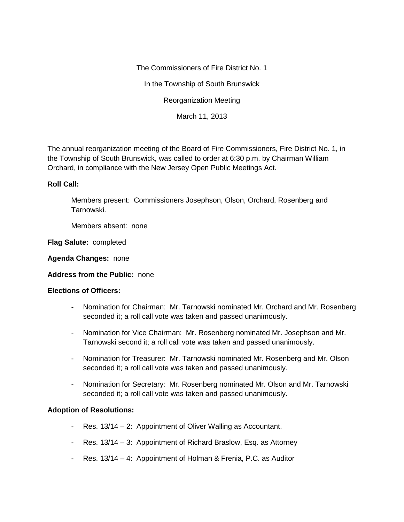The Commissioners of Fire District No. 1 In the Township of South Brunswick Reorganization Meeting March 11, 2013

The annual reorganization meeting of the Board of Fire Commissioners, Fire District No. 1, in the Township of South Brunswick, was called to order at 6:30 p.m. by Chairman William Orchard, in compliance with the New Jersey Open Public Meetings Act.

## **Roll Call:**

Members present: Commissioners Josephson, Olson, Orchard, Rosenberg and Tarnowski.

Members absent: none

**Flag Salute:** completed

**Agenda Changes:** none

## **Address from the Public:** none

## **Elections of Officers:**

- Nomination for Chairman: Mr. Tarnowski nominated Mr. Orchard and Mr. Rosenberg seconded it; a roll call vote was taken and passed unanimously.
- Nomination for Vice Chairman: Mr. Rosenberg nominated Mr. Josephson and Mr. Tarnowski second it; a roll call vote was taken and passed unanimously.
- Nomination for Treasurer: Mr. Tarnowski nominated Mr. Rosenberg and Mr. Olson seconded it; a roll call vote was taken and passed unanimously.
- Nomination for Secretary: Mr. Rosenberg nominated Mr. Olson and Mr. Tarnowski seconded it; a roll call vote was taken and passed unanimously.

## **Adoption of Resolutions:**

- Res. 13/14 2: Appointment of Oliver Walling as Accountant.
- Res. 13/14 3: Appointment of Richard Braslow, Esq. as Attorney
- Res. 13/14 4: Appointment of Holman & Frenia, P.C. as Auditor